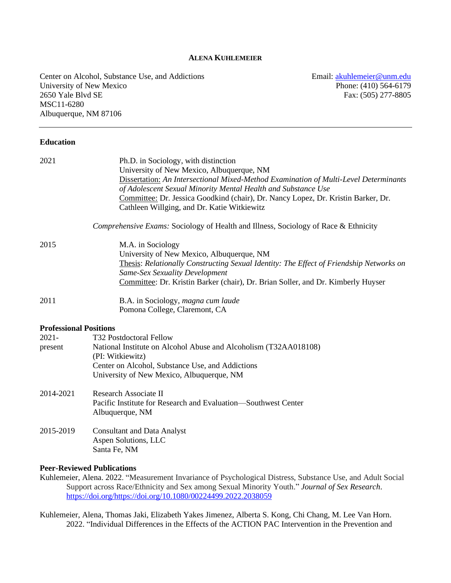#### **ALENA KUHLEMEIER**

Center on Alcohol, Substance Use, and Addictions University of New Mexico 2650 Yale Blvd SE MSC11-6280 Albuquerque, NM 87106

Email: [akuhlemeier@unm.edu](mailto:akuhlemeier@unm.edu) Phone: (410) 564-6179 Fax: (505) 277-8805

# **Education**

| 2021                          | Ph.D. in Sociology, with distinction<br>University of New Mexico, Albuquerque, NM<br>Dissertation: An Intersectional Mixed-Method Examination of Multi-Level Determinants<br>of Adolescent Sexual Minority Mental Health and Substance Use<br>Committee: Dr. Jessica Goodkind (chair), Dr. Nancy Lopez, Dr. Kristin Barker, Dr. |
|-------------------------------|---------------------------------------------------------------------------------------------------------------------------------------------------------------------------------------------------------------------------------------------------------------------------------------------------------------------------------|
|                               | Cathleen Willging, and Dr. Katie Witkiewitz                                                                                                                                                                                                                                                                                     |
|                               | Comprehensive Exams: Sociology of Health and Illness, Sociology of Race & Ethnicity                                                                                                                                                                                                                                             |
| 2015                          | M.A. in Sociology<br>University of New Mexico, Albuquerque, NM<br>Thesis: Relationally Constructing Sexual Identity: The Effect of Friendship Networks on<br><b>Same-Sex Sexuality Development</b>                                                                                                                              |
|                               | Committee: Dr. Kristin Barker (chair), Dr. Brian Soller, and Dr. Kimberly Huyser                                                                                                                                                                                                                                                |
| 2011                          | B.A. in Sociology, magna cum laude<br>Pomona College, Claremont, CA                                                                                                                                                                                                                                                             |
| <b>Professional Positions</b> |                                                                                                                                                                                                                                                                                                                                 |
| $2021 -$<br>present           | T32 Postdoctoral Fellow<br>National Institute on Alcohol Abuse and Alcoholism (T32AA018108)                                                                                                                                                                                                                                     |
|                               | (PI: Witkiewitz)                                                                                                                                                                                                                                                                                                                |
|                               | Center on Alcohol, Substance Use, and Addictions<br>University of New Mexico, Albuquerque, NM                                                                                                                                                                                                                                   |
| 2014-2021                     | Research Associate II<br>Pacific Institute for Research and Evaluation—Southwest Center<br>Albuquerque, NM                                                                                                                                                                                                                      |
| 2015-2019                     | <b>Consultant and Data Analyst</b><br>Aspen Solutions, LLC<br>Santa Fe, NM                                                                                                                                                                                                                                                      |

#### **Peer-Reviewed Publications**

- Kuhlemeier, Alena. 2022. "Measurement Invariance of Psychological Distress, Substance Use, and Adult Social Support across Race/Ethnicity and Sex among Sexual Minority Youth." *Journal of Sex Research*. [https://doi.org/https://doi.org/10.1080/00224499.2022.2038059](https://doi.org/https:/doi.org/10.1080/00224499.2022.2038059)
- Kuhlemeier, Alena, Thomas Jaki, Elizabeth Yakes Jimenez, Alberta S. Kong, Chi Chang, M. Lee Van Horn. 2022. "Individual Differences in the Effects of the ACTION PAC Intervention in the Prevention and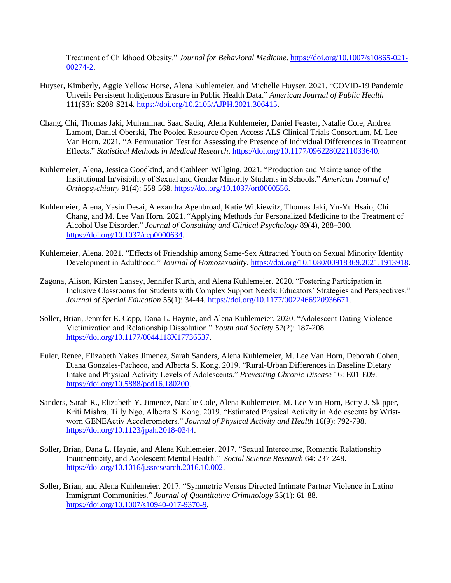Treatment of Childhood Obesity." *Journal for Behavioral Medicine*. [https://doi.org/10.1007/s10865-021-](https://doi.org/10.1007/s10865-021-00274-2) [00274-2.](https://doi.org/10.1007/s10865-021-00274-2)

- Huyser, Kimberly, Aggie Yellow Horse, Alena Kuhlemeier, and Michelle Huyser. 2021. "COVID-19 Pandemic Unveils Persistent Indigenous Erasure in Public Health Data." *American Journal of Public Health* 111(S3): S208-S214. [https://doi.org/10.2105/AJPH.2021.306415.](https://doi.org/10.2105/AJPH.2021.306415)
- Chang, Chi, Thomas Jaki, Muhammad Saad Sadiq, Alena Kuhlemeier, Daniel Feaster, Natalie Cole, Andrea Lamont, Daniel Oberski, The Pooled Resource Open-Access ALS Clinical Trials Consortium, M. Lee Van Horn. 2021. "A Permutation Test for Assessing the Presence of Individual Differences in Treatment Effects." *Statistical Methods in Medical Research*. [https://doi.org/10.1177/09622802211033640.](https://doi.org/10.1177/09622802211033640)
- Kuhlemeier, Alena, Jessica Goodkind, and Cathleen Willging. 2021. "Production and Maintenance of the Institutional In/visibility of Sexual and Gender Minority Students in Schools." *American Journal of Orthopsychiatry* 91(4): 558-568. [https://doi.org/10.1037/ort0000556.](https://doi.org/10.1037/ort0000556)
- Kuhlemeier, Alena*,* Yasin Desai, Alexandra Agenbroad, Katie Witkiewitz, Thomas Jaki, Yu-Yu Hsaio, Chi Chang, and M. Lee Van Horn. 2021. "Applying Methods for Personalized Medicine to the Treatment of Alcohol Use Disorder." *Journal of Consulting and Clinical Psychology* 89(4), 288–300. [https://doi.org/10.1037/ccp0000634.](https://doi.org/10.1037/ccp0000634)
- Kuhlemeier, Alena. 2021. "Effects of Friendship among Same-Sex Attracted Youth on Sexual Minority Identity Development in Adulthood." *Journal of Homosexuality*. [https://doi.org/10.1080/00918369.2021.1913918.](https://doi.org/10.1080/00918369.2021.1913918)
- Zagona, Alison, Kirsten Lansey, Jennifer Kurth, and Alena Kuhlemeier. 2020. "Fostering Participation in Inclusive Classrooms for Students with Complex Support Needs: Educators' Strategies and Perspectives." *Journal of Special Education* 55(1): 34-44*.* [https://doi.org/10.1177/0022466920936671.](https://doi.org/10.1177/0022466920936671)
- Soller, Brian, Jennifer E. Copp, Dana L. Haynie, and Alena Kuhlemeier. 2020. "Adolescent Dating Violence Victimization and Relationship Dissolution." *Youth and Society* 52(2): 187-208. [https://doi.org/10.1177/0044118X17736537.](https://doi.org/10.1177/0044118X17736537)
- Euler, Renee, Elizabeth Yakes Jimenez, Sarah Sanders, Alena Kuhlemeier, M. Lee Van Horn, Deborah Cohen, Diana Gonzales-Pacheco, and Alberta S. Kong. 2019. "Rural-Urban Differences in Baseline Dietary Intake and Physical Activity Levels of Adolescents." *Preventing Chronic Disease* 16: E01-E09. [https://doi.org/10.5888/pcd16.180200.](https://doi.org/10.5888/pcd16.180200)
- Sanders, Sarah R., Elizabeth Y. Jimenez, Natalie Cole, Alena Kuhlemeier, M. Lee Van Horn, Betty J. Skipper, Kriti Mishra, Tilly Ngo, Alberta S. Kong. 2019. "Estimated Physical Activity in Adolescents by Wristworn GENEActiv Accelerometers." *Journal of Physical Activity and Health* 16(9): 792-798. [https://doi.org/10.1123/jpah.2018-0344.](https://doi.org/10.1123/jpah.2018-0344)
- Soller, Brian, Dana L. Haynie, and Alena Kuhlemeier. 2017. "Sexual Intercourse, Romantic Relationship Inauthenticity, and Adolescent Mental Health." *Social Science Research* 64: 237-248. [https://doi.org/10.1016/j.ssresearch.2016.10.002.](https://doi.org/10.1016/j.ssresearch.2016.10.002)
- Soller, Brian, and Alena Kuhlemeier. 2017. "Symmetric Versus Directed Intimate Partner Violence in Latino Immigrant Communities." *Journal of Quantitative Criminology* 35(1): 61-88. [https://doi.org/10.1007/s10940-017-9370-9.](https://doi.org/10.1007/s10940-017-9370-9)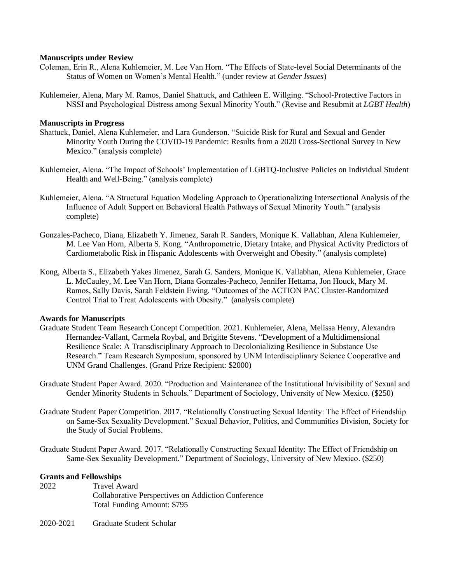### **Manuscripts under Review**

- Coleman, Erin R., Alena Kuhlemeier, M. Lee Van Horn. "The Effects of State-level Social Determinants of the Status of Women on Women's Mental Health." (under review at *Gender Issues*)
- Kuhlemeier, Alena, Mary M. Ramos, Daniel Shattuck, and Cathleen E. Willging. "School-Protective Factors in NSSI and Psychological Distress among Sexual Minority Youth." (Revise and Resubmit at *LGBT Health*)

# **Manuscripts in Progress**

- Shattuck, Daniel, Alena Kuhlemeier, and Lara Gunderson. "Suicide Risk for Rural and Sexual and Gender Minority Youth During the COVID-19 Pandemic: Results from a 2020 Cross-Sectional Survey in New Mexico." (analysis complete)
- Kuhlemeier, Alena. "The Impact of Schools' Implementation of LGBTQ-Inclusive Policies on Individual Student Health and Well-Being." (analysis complete)
- Kuhlemeier, Alena. "A Structural Equation Modeling Approach to Operationalizing Intersectional Analysis of the Influence of Adult Support on Behavioral Health Pathways of Sexual Minority Youth." (analysis complete)
- Gonzales-Pacheco, Diana, Elizabeth Y. Jimenez, Sarah R. Sanders, Monique K. Vallabhan, Alena Kuhlemeier, M. Lee Van Horn, Alberta S. Kong. "Anthropometric, Dietary Intake, and Physical Activity Predictors of Cardiometabolic Risk in Hispanic Adolescents with Overweight and Obesity." (analysis complete)
- Kong, Alberta S., Elizabeth Yakes Jimenez, Sarah G. Sanders, Monique K. Vallabhan, Alena Kuhlemeier, Grace L. McCauley, M. Lee Van Horn, Diana Gonzales-Pacheco, Jennifer Hettama, Jon Houck, Mary M. Ramos, Sally Davis, Sarah Feldstein Ewing. "Outcomes of the ACTION PAC Cluster-Randomized Control Trial to Treat Adolescents with Obesity." (analysis complete)

### **Awards for Manuscripts**

- Graduate Student Team Research Concept Competition. 2021. Kuhlemeier, Alena, Melissa Henry, Alexandra Hernandez-Vallant, Carmela Roybal, and Brigitte Stevens. "Development of a Multidimensional Resilience Scale: A Transdisciplinary Approach to Decolonializing Resilience in Substance Use Research." Team Research Symposium, sponsored by UNM Interdisciplinary Science Cooperative and UNM Grand Challenges. (Grand Prize Recipient: \$2000)
- Graduate Student Paper Award. 2020. "Production and Maintenance of the Institutional In/visibility of Sexual and Gender Minority Students in Schools." Department of Sociology, University of New Mexico. (\$250)
- Graduate Student Paper Competition. 2017. "Relationally Constructing Sexual Identity: The Effect of Friendship on Same-Sex Sexuality Development." Sexual Behavior, Politics, and Communities Division, Society for the Study of Social Problems.
- Graduate Student Paper Award. 2017. "Relationally Constructing Sexual Identity: The Effect of Friendship on Same-Sex Sexuality Development." Department of Sociology, University of New Mexico. (\$250)

#### **Grants and Fellowships**

- 2022 Travel Award Collaborative Perspectives on Addiction Conference Total Funding Amount: \$795
- 2020-2021 Graduate Student Scholar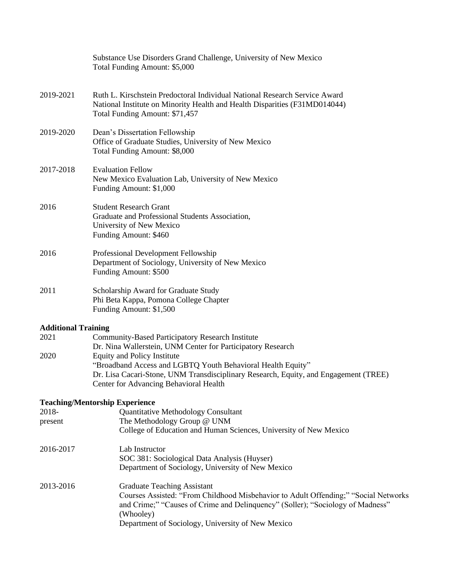|                            | Substance Use Disorders Grand Challenge, University of New Mexico<br>Total Funding Amount: \$5,000                                                                                                                                                                            |  |
|----------------------------|-------------------------------------------------------------------------------------------------------------------------------------------------------------------------------------------------------------------------------------------------------------------------------|--|
| 2019-2021                  | Ruth L. Kirschstein Predoctoral Individual National Research Service Award<br>National Institute on Minority Health and Health Disparities (F31MD014044)<br>Total Funding Amount: \$71,457                                                                                    |  |
| 2019-2020                  | Dean's Dissertation Fellowship<br>Office of Graduate Studies, University of New Mexico<br>Total Funding Amount: \$8,000                                                                                                                                                       |  |
| 2017-2018                  | <b>Evaluation Fellow</b><br>New Mexico Evaluation Lab, University of New Mexico<br>Funding Amount: \$1,000                                                                                                                                                                    |  |
| 2016                       | <b>Student Research Grant</b><br>Graduate and Professional Students Association,<br>University of New Mexico<br>Funding Amount: \$460                                                                                                                                         |  |
| 2016                       | Professional Development Fellowship<br>Department of Sociology, University of New Mexico<br>Funding Amount: \$500                                                                                                                                                             |  |
| 2011                       | Scholarship Award for Graduate Study<br>Phi Beta Kappa, Pomona College Chapter<br>Funding Amount: \$1,500                                                                                                                                                                     |  |
| <b>Additional Training</b> |                                                                                                                                                                                                                                                                               |  |
| 2021                       | Community-Based Participatory Research Institute<br>Dr. Nina Wallerstein, UNM Center for Participatory Research                                                                                                                                                               |  |
| 2020                       | <b>Equity and Policy Institute</b><br>"Broadband Access and LGBTQ Youth Behavioral Health Equity"<br>Dr. Lisa Cacari-Stone, UNM Transdisciplinary Research, Equity, and Engagement (TREE)<br>Center for Advancing Behavioral Health                                           |  |
|                            | <b>Teaching/Mentorship Experience</b>                                                                                                                                                                                                                                         |  |
| 2018-                      | Quantitative Methodology Consultant                                                                                                                                                                                                                                           |  |
| present                    | The Methodology Group @ UNM<br>College of Education and Human Sciences, University of New Mexico                                                                                                                                                                              |  |
| 2016-2017                  | Lab Instructor<br>SOC 381: Sociological Data Analysis (Huyser)<br>Department of Sociology, University of New Mexico                                                                                                                                                           |  |
| 2013-2016                  | <b>Graduate Teaching Assistant</b><br>Courses Assisted: "From Childhood Misbehavior to Adult Offending;" "Social Networks<br>and Crime;" "Causes of Crime and Delinquency" (Soller); "Sociology of Madness"<br>(Whooley)<br>Department of Sociology, University of New Mexico |  |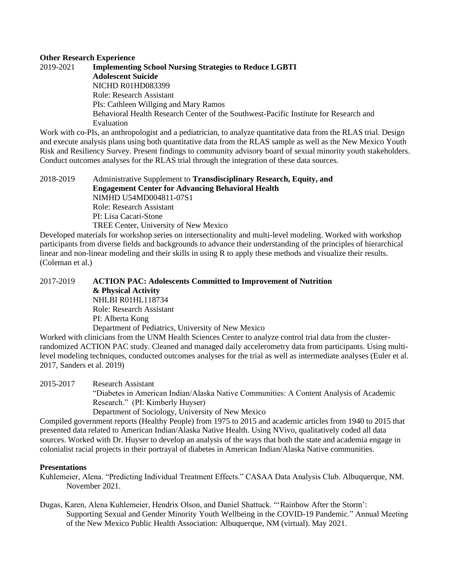### **Other Research Experience**

2019-2021 **Implementing School Nursing Strategies to Reduce LGBTI Adolescent Suicide** NICHD R01HD083399 Role: Research Assistant PIs: Cathleen Willging and Mary Ramos Behavioral Health Research Center of the Southwest-Pacific Institute for Research and Evaluation

Work with co-PIs, an anthropologist and a pediatrician, to analyze quantitative data from the RLAS trial. Design and execute analysis plans using both quantitative data from the RLAS sample as well as the New Mexico Youth Risk and Resiliency Survey. Present findings to community advisory board of sexual minority youth stakeholders. Conduct outcomes analyses for the RLAS trial through the integration of these data sources.

2018-2019 Administrative Supplement to **Transdisciplinary Research, Equity, and Engagement Center for Advancing Behavioral Health** NIMHD U54MD004811-07S1 Role: Research Assistant PI: Lisa Cacari-Stone TREE Center, University of New Mexico

Developed materials for workshop series on intersectionality and multi-level modeling. Worked with workshop participants from diverse fields and backgrounds to advance their understanding of the principles of hierarchical linear and non-linear modeling and their skills in using R to apply these methods and visualize their results. (Coleman et al.)

2017-2019 **ACTION PAC: Adolescents Committed to Improvement of Nutrition & Physical Activity** NHLBI R01HL118734 Role: Research Assistant PI: Alberta Kong Department of Pediatrics, University of New Mexico

Worked with clinicians from the UNM Health Sciences Center to analyze control trial data from the clusterrandomized ACTION PAC study. Cleaned and managed daily accelerometry data from participants. Using multilevel modeling techniques, conducted outcomes analyses for the trial as well as intermediate analyses (Euler et al. 2017, Sanders et al. 2019)

2015-2017 Research Assistant "Diabetes in American Indian/Alaska Native Communities: A Content Analysis of Academic Research." (PI: Kimberly Huyser) Department of Sociology, University of New Mexico

Compiled government reports (Healthy People) from 1975 to 2015 and academic articles from 1940 to 2015 that presented data related to American Indian/Alaska Native Health. Using NVivo, qualitatively coded all data sources. Worked with Dr. Huyser to develop an analysis of the ways that both the state and academia engage in colonialist racial projects in their portrayal of diabetes in American Indian/Alaska Native communities.

#### **Presentations**

Kuhlemeier, Alena. "Predicting Individual Treatment Effects." CASAA Data Analysis Club. Albuquerque, NM. November 2021.

Dugas, Karen, Alena Kuhlemeier, Hendrix Olson, and Daniel Shattuck. "'Rainbow After the Storm': Supporting Sexual and Gender Minority Youth Wellbeing in the COVID-19 Pandemic." Annual Meeting of the New Mexico Public Health Association: Albuquerque, NM (virtual). May 2021.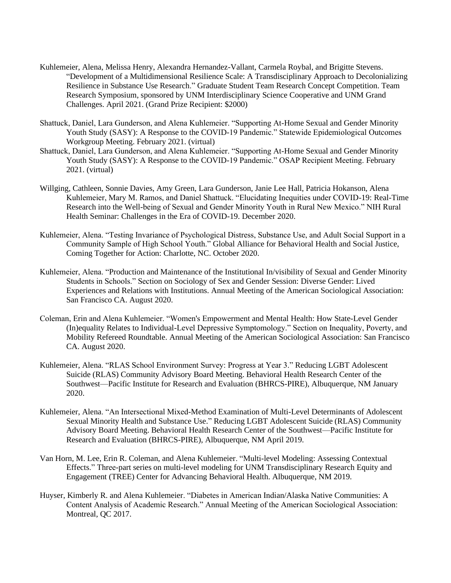- Kuhlemeier, Alena, Melissa Henry, Alexandra Hernandez-Vallant, Carmela Roybal, and Brigitte Stevens. "Development of a Multidimensional Resilience Scale: A Transdisciplinary Approach to Decolonializing Resilience in Substance Use Research." Graduate Student Team Research Concept Competition. Team Research Symposium, sponsored by UNM Interdisciplinary Science Cooperative and UNM Grand Challenges. April 2021. (Grand Prize Recipient: \$2000)
- Shattuck, Daniel, Lara Gunderson, and Alena Kuhlemeier. "Supporting At-Home Sexual and Gender Minority Youth Study (SASY): A Response to the COVID-19 Pandemic." Statewide Epidemiological Outcomes Workgroup Meeting. February 2021. (virtual)
- Shattuck, Daniel, Lara Gunderson, and Alena Kuhlemeier. "Supporting At-Home Sexual and Gender Minority Youth Study (SASY): A Response to the COVID-19 Pandemic." OSAP Recipient Meeting. February 2021. (virtual)
- Willging, Cathleen, Sonnie Davies, Amy Green, Lara Gunderson, Janie Lee Hall, Patricia Hokanson, Alena Kuhlemeier, Mary M. Ramos, and Daniel Shattuck. "Elucidating Inequities under COVID-19: Real-Time Research into the Well-being of Sexual and Gender Minority Youth in Rural New Mexico." NIH Rural Health Seminar: Challenges in the Era of COVID-19. December 2020.
- Kuhlemeier, Alena. "Testing Invariance of Psychological Distress, Substance Use, and Adult Social Support in a Community Sample of High School Youth." Global Alliance for Behavioral Health and Social Justice, Coming Together for Action: Charlotte, NC. October 2020.
- Kuhlemeier, Alena. "Production and Maintenance of the Institutional In/visibility of Sexual and Gender Minority Students in Schools." Section on Sociology of Sex and Gender Session: Diverse Gender: Lived Experiences and Relations with Institutions. Annual Meeting of the American Sociological Association: San Francisco CA. August 2020.
- Coleman, Erin and Alena Kuhlemeier. "Women's Empowerment and Mental Health: How State-Level Gender (In)equality Relates to Individual-Level Depressive Symptomology." Section on Inequality, Poverty, and Mobility Refereed Roundtable. Annual Meeting of the American Sociological Association: San Francisco CA. August 2020.
- Kuhlemeier, Alena. "RLAS School Environment Survey: Progress at Year 3." Reducing LGBT Adolescent Suicide (RLAS) Community Advisory Board Meeting. Behavioral Health Research Center of the Southwest—Pacific Institute for Research and Evaluation (BHRCS-PIRE), Albuquerque, NM January 2020.
- Kuhlemeier, Alena. "An Intersectional Mixed-Method Examination of Multi-Level Determinants of Adolescent Sexual Minority Health and Substance Use." Reducing LGBT Adolescent Suicide (RLAS) Community Advisory Board Meeting. Behavioral Health Research Center of the Southwest—Pacific Institute for Research and Evaluation (BHRCS-PIRE), Albuquerque, NM April 2019.
- Van Horn, M. Lee, Erin R. Coleman, and Alena Kuhlemeier. "Multi-level Modeling: Assessing Contextual Effects." Three-part series on multi-level modeling for UNM Transdisciplinary Research Equity and Engagement (TREE) Center for Advancing Behavioral Health. Albuquerque, NM 2019.
- Huyser, Kimberly R. and Alena Kuhlemeier. "Diabetes in American Indian/Alaska Native Communities: A Content Analysis of Academic Research." Annual Meeting of the American Sociological Association: Montreal, QC 2017.